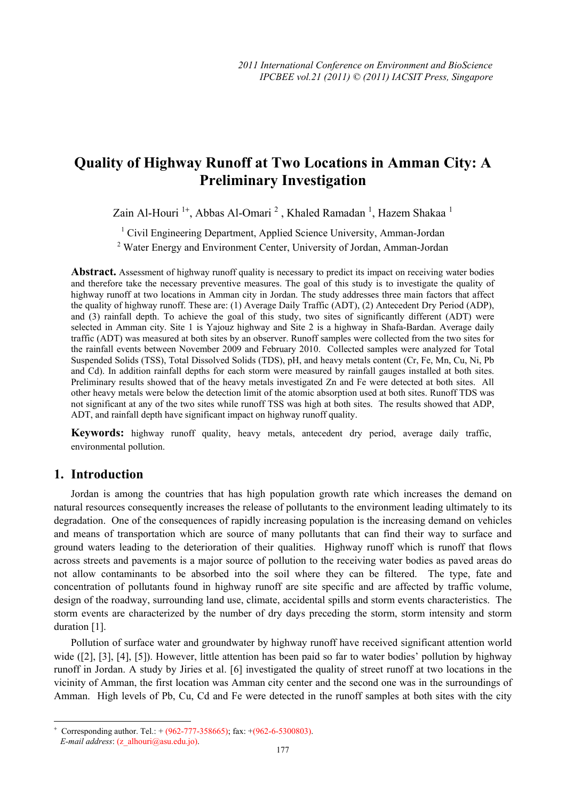# **Quality of Highway Runoff at Two Locations in Amman City: A Preliminary Investigation**

Zain Al-Houri<sup>1+</sup>, Abbas Al-Omari<sup>2</sup>, Khaled Ramadan<sup>1</sup>, Hazem Shakaa<sup>1</sup>

<sup>1</sup> Civil Engineering Department, Applied Science University, Amman-Jordan

<sup>2</sup> Water Energy and Environment Center, University of Jordan, Amman-Jordan

**Abstract.** Assessment of highway runoff quality is necessary to predict its impact on receiving water bodies and therefore take the necessary preventive measures. The goal of this study is to investigate the quality of highway runoff at two locations in Amman city in Jordan. The study addresses three main factors that affect the quality of highway runoff. These are: (1) Average Daily Traffic (ADT), (2) Antecedent Dry Period (ADP), and (3) rainfall depth. To achieve the goal of this study, two sites of significantly different (ADT) were selected in Amman city. Site 1 is Yajouz highway and Site 2 is a highway in Shafa-Bardan. Average daily traffic (ADT) was measured at both sites by an observer. Runoff samples were collected from the two sites for the rainfall events between November 2009 and February 2010. Collected samples were analyzed for Total Suspended Solids (TSS), Total Dissolved Solids (TDS), pH, and heavy metals content (Cr, Fe, Mn, Cu, Ni, Pb and Cd). In addition rainfall depths for each storm were measured by rainfall gauges installed at both sites. Preliminary results showed that of the heavy metals investigated Zn and Fe were detected at both sites. All other heavy metals were below the detection limit of the atomic absorption used at both sites. Runoff TDS was not significant at any of the two sites while runoff TSS was high at both sites. The results showed that ADP, ADT, and rainfall depth have significant impact on highway runoff quality.

**Keywords:** highway runoff quality, heavy metals, antecedent dry period, average daily traffic, environmental pollution.

## **1. Introduction**

Jordan is among the countries that has high population growth rate which increases the demand on natural resources consequently increases the release of pollutants to the environment leading ultimately to its degradation. One of the consequences of rapidly increasing population is the increasing demand on vehicles and means of transportation which are source of many pollutants that can find their way to surface and ground waters leading to the deterioration of their qualities. Highway runoff which is runoff that flows across streets and pavements is a major source of pollution to the receiving water bodies as paved areas do not allow contaminants to be absorbed into the soil where they can be filtered. The type, fate and concentration of pollutants found in highway runoff are site specific and are affected by traffic volume, design of the roadway, surrounding land use, climate, accidental spills and storm events characteristics. The storm events are characterized by the number of dry days preceding the storm, storm intensity and storm duration [1].

Pollution of surface water and groundwater by highway runoff have received significant attention world wide ([2], [3], [4], [5]). However, little attention has been paid so far to water bodies' pollution by highway runoff in Jordan. A study by Jiries et al. [6] investigated the quality of street runoff at two locations in the vicinity of Amman, the first location was Amman city center and the second one was in the surroundings of Amman. High levels of Pb, Cu, Cd and Fe were detected in the runoff samples at both sites with the city

 $\overline{\phantom{a}}$ 

<sup>+</sup> Corresponding author. Tel.:  $+(962-777-358665)$ ; fax:  $+(962-6-5300803)$ .

*E-mail address*: (z\_alhouri@asu.edu.jo).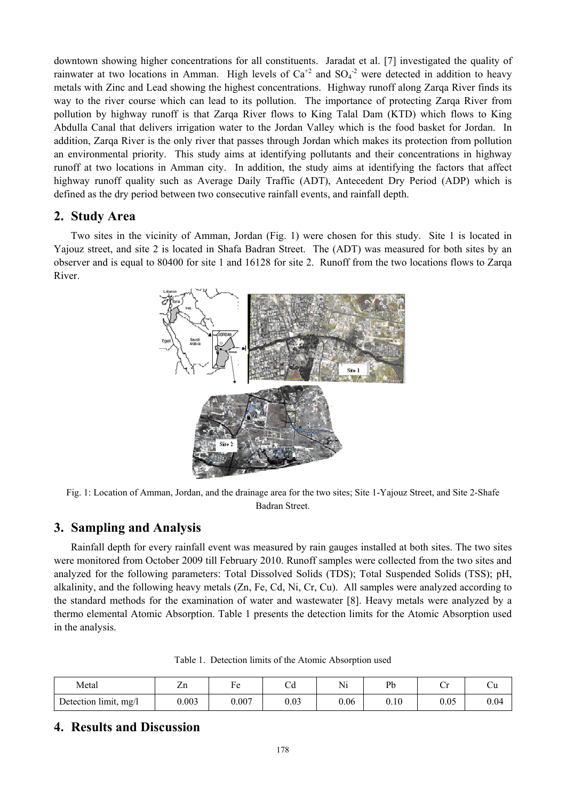downtown showing higher concentrations for all constituents. Jaradat et al. [7] investigated the quality of rainwater at two locations in Amman. High levels of  $Ca^{+2}$  and  $SO_4^{-2}$  were detected in addition to heavy metals with Zinc and Lead showing the highest concentrations. Highway runoff along Zarqa River finds its way to the river course which can lead to its pollution. The importance of protecting Zarqa River from pollution by highway runoff is that Zarqa River flows to King Talal Dam (KTD) which flows to King Abdulla Canal that delivers irrigation water to the Jordan Valley which is the food basket for Jordan. In addition, Zarqa River is the only river that passes through Jordan which makes its protection from pollution an environmental priority. This study aims at identifying pollutants and their concentrations in highway runoff at two locations in Amman city. In addition, the study aims at identifying the factors that affect highway runoff quality such as Average Daily Traffic (ADT), Antecedent Dry Period (ADP) which is defined as the dry period between two consecutive rainfall events, and rainfall depth.

### **2. Study Area**

Two sites in the vicinity of Amman, Jordan (Fig. 1) were chosen for this study. Site 1 is located in Yajouz street, and site 2 is located in Shafa Badran Street. The (ADT) was measured for both sites by an observer and is equal to 80400 for site 1 and 16128 for site 2. Runoff from the two locations flows to Zarqa River.



Fig. 1: Location of Amman, Jordan, and the drainage area for the two sites; Site 1-Yajouz Street, and Site 2-Shafe Badran Street.

### **3. Sampling and Analysis**

Rainfall depth for every rainfall event was measured by rain gauges installed at both sites. The two sites were monitored from October 2009 till February 2010. Runoff samples were collected from the two sites and analyzed for the following parameters: Total Dissolved Solids (TDS); Total Suspended Solids (TSS); pH, alkalinity, and the following heavy metals (Zn, Fe, Cd, Ni, Cr, Cu). All samples were analyzed according to the standard methods for the examination of water and wastewater [8]. Heavy metals were analyzed by a thermo elemental Atomic Absorption. Table 1 presents the detection limits for the Atomic Absorption used in the analysis.

| Metal                 | $\overline{ }$<br>ZШ | 2 U   | $\overline{\phantom{a}}$<br>∪u | <b>* T*</b><br>$\mathbb{N}_1$ | D <sub>k</sub><br>⊥∪ | ◡    | ∪u   |
|-----------------------|----------------------|-------|--------------------------------|-------------------------------|----------------------|------|------|
| Detection limit, mg/l | 0.003                | 0.007 | 0.03                           | 0.06                          | 0.10                 | 0.05 | 0.04 |

Table 1. Detection limits of the Atomic Absorption used

# **4. Results and Discussion**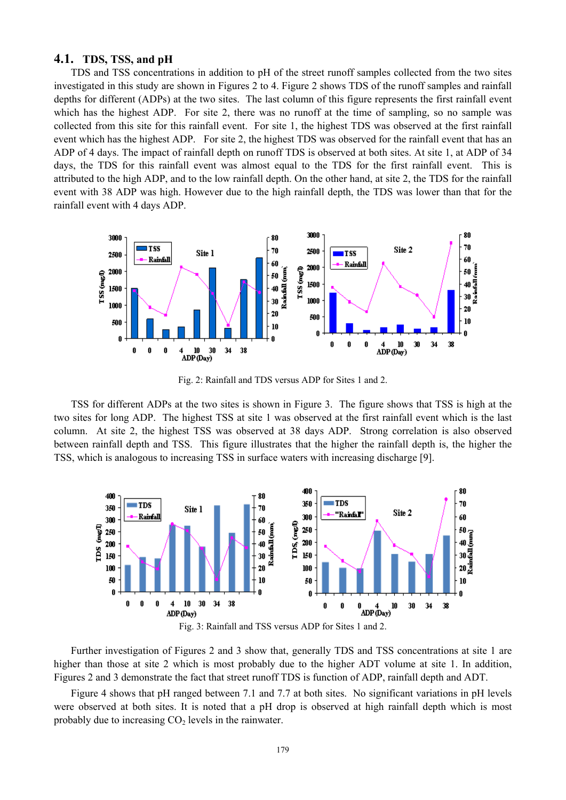#### **4.1. TDS, TSS, and pH**

TDS and TSS concentrations in addition to pH of the street runoff samples collected from the two sites investigated in this study are shown in Figures 2 to 4. Figure 2 shows TDS of the runoff samples and rainfall depths for different (ADPs) at the two sites. The last column of this figure represents the first rainfall event which has the highest ADP. For site 2, there was no runoff at the time of sampling, so no sample was collected from this site for this rainfall event. For site 1, the highest TDS was observed at the first rainfall event which has the highest ADP. For site 2, the highest TDS was observed for the rainfall event that has an ADP of 4 days. The impact of rainfall depth on runoff TDS is observed at both sites. At site 1, at ADP of 34 days, the TDS for this rainfall event was almost equal to the TDS for the first rainfall event. This is attributed to the high ADP, and to the low rainfall depth. On the other hand, at site 2, the TDS for the rainfall event with 38 ADP was high. However due to the high rainfall depth, the TDS was lower than that for the rainfall event with 4 days ADP.



Fig. 2: Rainfall and TDS versus ADP for Sites 1 and 2.

TSS for different ADPs at the two sites is shown in Figure 3. The figure shows that TSS is high at the two sites for long ADP. The highest TSS at site 1 was observed at the first rainfall event which is the last column. At site 2, the highest TSS was observed at 38 days ADP. Strong correlation is also observed between rainfall depth and TSS. This figure illustrates that the higher the rainfall depth is, the higher the TSS, which is analogous to increasing TSS in surface waters with increasing discharge [9].





Further investigation of Figures 2 and 3 show that, generally TDS and TSS concentrations at site 1 are higher than those at site 2 which is most probably due to the higher ADT volume at site 1. In addition, Figures 2 and 3 demonstrate the fact that street runoff TDS is function of ADP, rainfall depth and ADT.

Figure 4 shows that pH ranged between 7.1 and 7.7 at both sites. No significant variations in pH levels were observed at both sites. It is noted that a pH drop is observed at high rainfall depth which is most probably due to increasing  $CO<sub>2</sub>$  levels in the rainwater.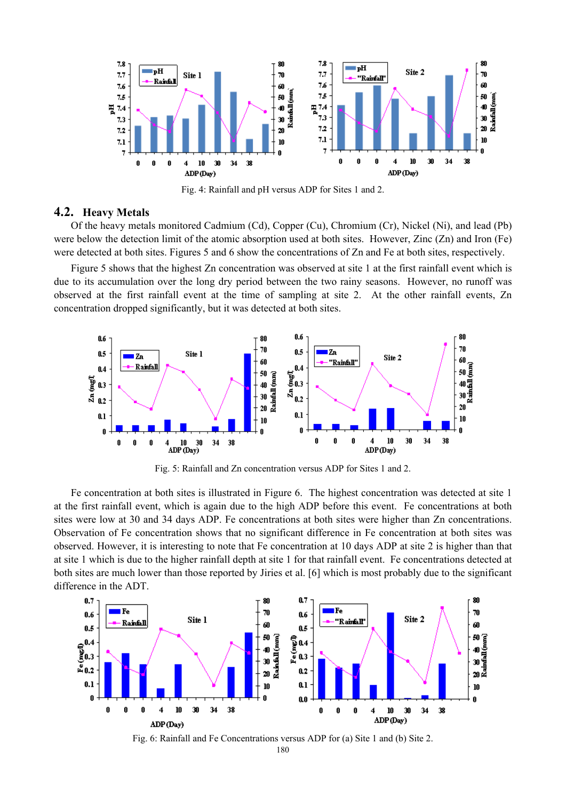

Fig. 4: Rainfall and pH versus ADP for Sites 1 and 2.

### **4.2. Heavy Metals**

Of the heavy metals monitored Cadmium (Cd), Copper (Cu), Chromium (Cr), Nickel (Ni), and lead (Pb) were below the detection limit of the atomic absorption used at both sites. However, Zinc (Zn) and Iron (Fe) were detected at both sites. Figures 5 and 6 show the concentrations of Zn and Fe at both sites, respectively.

Figure 5 shows that the highest Zn concentration was observed at site 1 at the first rainfall event which is due to its accumulation over the long dry period between the two rainy seasons. However, no runoff was observed at the first rainfall event at the time of sampling at site 2. At the other rainfall events, Zn concentration dropped significantly, but it was detected at both sites.



Fig. 5: Rainfall and Zn concentration versus ADP for Sites 1 and 2.

Fe concentration at both sites is illustrated in Figure 6. The highest concentration was detected at site 1 at the first rainfall event, which is again due to the high ADP before this event. Fe concentrations at both sites were low at 30 and 34 days ADP. Fe concentrations at both sites were higher than Zn concentrations. Observation of Fe concentration shows that no significant difference in Fe concentration at both sites was observed. However, it is interesting to note that Fe concentration at 10 days ADP at site 2 is higher than that at site 1 which is due to the higher rainfall depth at site 1 for that rainfall event. Fe concentrations detected at both sites are much lower than those reported by Jiries et al. [6] which is most probably due to the significant difference in the ADT.



Fig. 6: Rainfall and Fe Concentrations versus ADP for (a) Site 1 and (b) Site 2.